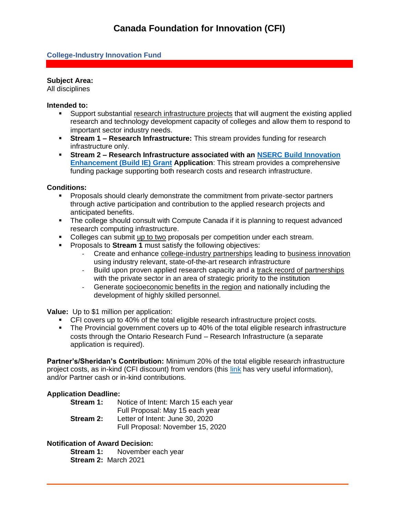## **College-Industry Innovation Fund**

## **Subject Area:**

All disciplines

#### **Intended to:**

- Support substantial research infrastructure projects that will augment the existing applied research and technology development capacity of colleges and allow them to respond to important sector industry needs.
- **Stream 1 – Research Infrastructure:** This stream provides funding for research infrastructure only.
- **Stream 2 – Research Infrastructure associated with an NSERC [Build Innovation](https://www.nserc-crsng.gc.ca/Professors-Professeurs/RPP-PP/CCI-ICC_eng.asp)  [Enhancement \(Build IE\)](https://www.nserc-crsng.gc.ca/Professors-Professeurs/RPP-PP/CCI-ICC_eng.asp) Grant Application**: This stream provides a comprehensive funding package supporting both research costs and research infrastructure.

#### **Conditions:**

- Proposals should clearly demonstrate the commitment from private-sector partners through active participation and contribution to the applied research projects and anticipated benefits.
- The college should consult with Compute Canada if it is planning to request advanced research computing infrastructure.
- Colleges can submit up to two proposals per competition under each stream.
- **•** Proposals to **Stream 1** must satisfy the following objectives:
	- Create and enhance college-industry partnerships leading to business innovation using industry relevant, state-of-the-art research infrastructure
	- Build upon proven applied research capacity and a track record of partnerships with the private sector in an area of strategic priority to the institution
	- Generate socioeconomic benefits in the region and nationally including the development of highly skilled personnel.

**Value:** Up to \$1 million per application:

- CFI covers up to 40% of the total eligible research infrastructure project costs.
- The Provincial government covers up to 40% of the total eligible research infrastructure costs through the Ontario Research Fund – Research Infrastructure (a separate application is required).

**Partner's/Sheridan's Contribution:** Minimum 20% of the total eligible research infrastructure project costs, as in-kind (CFI discount) from vendors (this [link](https://www.innovation.ca/sites/default/files/Funds/documents/Competitivie%20bid%20process%20and%20examples_updated%20April%207_2014_EN%20-%20CSV2.pdf) has very useful information), and/or Partner cash or in-kind contributions.

## **Application Deadline:**

| Stream 1: | Notice of Intent: March 15 each year |
|-----------|--------------------------------------|
|           | Full Proposal: May 15 each year      |
| Stream 2: | Letter of Intent: June 30, 2020      |
|           | Full Proposal: November 15, 2020     |

## **Notification of Award Decision:**

**Stream 1:** November each year **Stream 2:** March 2021